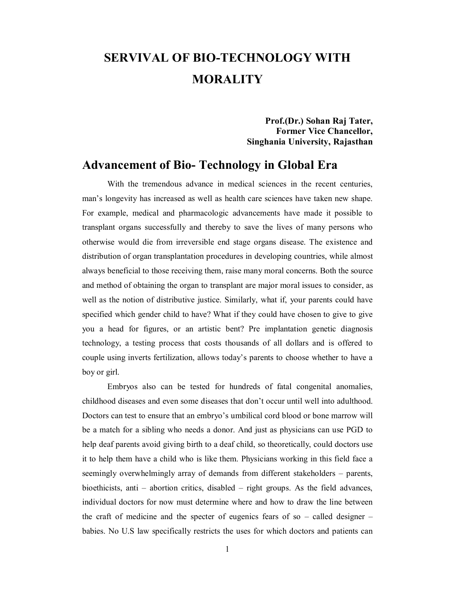# **SERVIVAL OF BIO-TECHNOLOGY WITH MORALITY**

**Prof.(Dr.) Sohan Raj Tater, Former Vice Chancellor, Singhania University, Rajasthan**

## **Advancement of Bio- Technology in Global Era**

With the tremendous advance in medical sciences in the recent centuries, man's longevity has increased as well as health care sciences have taken new shape. For example, medical and pharmacologic advancements have made it possible to transplant organs successfully and thereby to save the lives of many persons who otherwise would die from irreversible end stage organs disease. The existence and distribution of organ transplantation procedures in developing countries, while almost always beneficial to those receiving them, raise many moral concerns. Both the source and method of obtaining the organ to transplant are major moral issues to consider, as well as the notion of distributive justice. Similarly, what if, your parents could have specified which gender child to have? What if they could have chosen to give to give you a head for figures, or an artistic bent? Pre implantation genetic diagnosis technology, a testing process that costs thousands of all dollars and is offered to couple using inverts fertilization, allows today's parents to choose whether to have a boy or girl.

Embryos also can be tested for hundreds of fatal congenital anomalies, childhood diseases and even some diseases that don't occur until well into adulthood. Doctors can test to ensure that an embryo's umbilical cord blood or bone marrow will be a match for a sibling who needs a donor. And just as physicians can use PGD to help deaf parents avoid giving birth to a deaf child, so theoretically, could doctors use it to help them have a child who is like them. Physicians working in this field face a seemingly overwhelmingly array of demands from different stakeholders – parents, bioethicists, anti – abortion critics, disabled – right groups. As the field advances, individual doctors for now must determine where and how to draw the line between the craft of medicine and the specter of eugenics fears of so – called designer – babies. No U.S law specifically restricts the uses for which doctors and patients can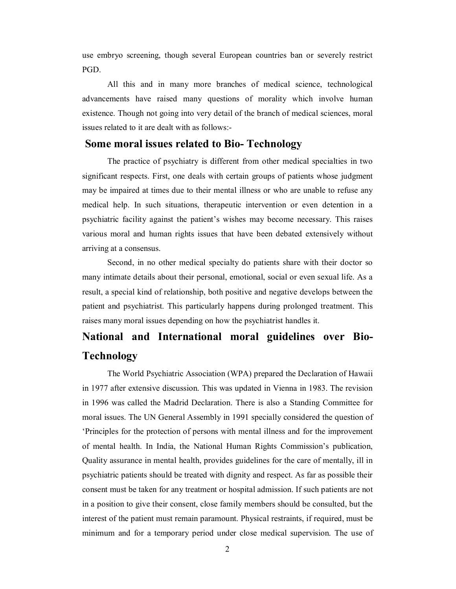use embryo screening, though several European countries ban or severely restrict PGD.

All this and in many more branches of medical science, technological advancements have raised many questions of morality which involve human existence. Though not going into very detail of the branch of medical sciences, moral issues related to it are dealt with as follows:-

## **Some moral issues related to Bio- Technology**

The practice of psychiatry is different from other medical specialties in two significant respects. First, one deals with certain groups of patients whose judgment may be impaired at times due to their mental illness or who are unable to refuse any medical help. In such situations, therapeutic intervention or even detention in a psychiatric facility against the patient's wishes may become necessary. This raises various moral and human rights issues that have been debated extensively without arriving at a consensus.

Second, in no other medical specialty do patients share with their doctor so many intimate details about their personal, emotional, social or even sexual life. As a result, a special kind of relationship, both positive and negative develops between the patient and psychiatrist. This particularly happens during prolonged treatment. This raises many moral issues depending on how the psychiatrist handles it.

## **National and International moral guidelines over Bio-Technology**

The World Psychiatric Association (WPA) prepared the Declaration of Hawaii in 1977 after extensive discussion. This was updated in Vienna in 1983. The revision in 1996 was called the Madrid Declaration. There is also a Standing Committee for moral issues. The UN General Assembly in 1991 specially considered the question of 'Principles for the protection of persons with mental illness and for the improvement of mental health. In India, the National Human Rights Commission's publication, Quality assurance in mental health, provides guidelines for the care of mentally, ill in psychiatric patients should be treated with dignity and respect. As far as possible their consent must be taken for any treatment or hospital admission. If such patients are not in a position to give their consent, close family members should be consulted, but the interest of the patient must remain paramount. Physical restraints, if required, must be minimum and for a temporary period under close medical supervision. The use of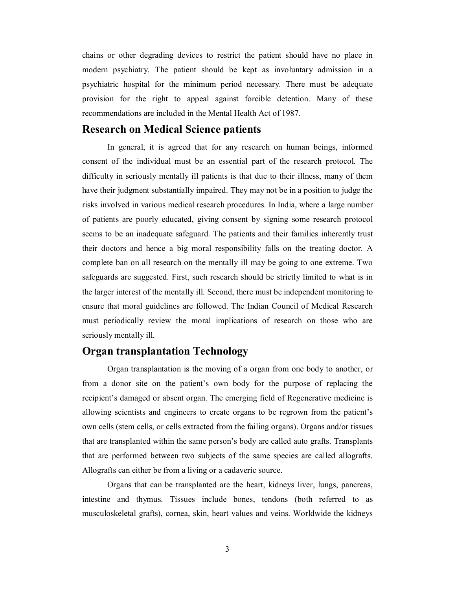chains or other degrading devices to restrict the patient should have no place in modern psychiatry. The patient should be kept as involuntary admission in a psychiatric hospital for the minimum period necessary. There must be adequate provision for the right to appeal against forcible detention. Many of these recommendations are included in the Mental Health Act of 1987.

#### **Research on Medical Science patients**

In general, it is agreed that for any research on human beings, informed consent of the individual must be an essential part of the research protocol. The difficulty in seriously mentally ill patients is that due to their illness, many of them have their judgment substantially impaired. They may not be in a position to judge the risks involved in various medical research procedures. In India, where a large number of patients are poorly educated, giving consent by signing some research protocol seems to be an inadequate safeguard. The patients and their families inherently trust their doctors and hence a big moral responsibility falls on the treating doctor. A complete ban on all research on the mentally ill may be going to one extreme. Two safeguards are suggested. First, such research should be strictly limited to what is in the larger interest of the mentally ill. Second, there must be independent monitoring to ensure that moral guidelines are followed. The Indian Council of Medical Research must periodically review the moral implications of research on those who are seriously mentally ill.

## **Organ transplantation Technology**

Organ transplantation is the moving of a organ from one body to another, or from a donor site on the patient's own body for the purpose of replacing the recipient's damaged or absent organ. The emerging field of Regenerative medicine is allowing scientists and engineers to create organs to be regrown from the patient's own cells (stem cells, or cells extracted from the failing organs). Organs and/or tissues that are transplanted within the same person's body are called auto grafts. Transplants that are performed between two subjects of the same species are called allografts. Allografts can either be from a living or a cadaveric source.

Organs that can be transplanted are the heart, kidneys liver, lungs, pancreas, intestine and thymus. Tissues include bones, tendons (both referred to as musculoskeletal grafts), cornea, skin, heart values and veins. Worldwide the kidneys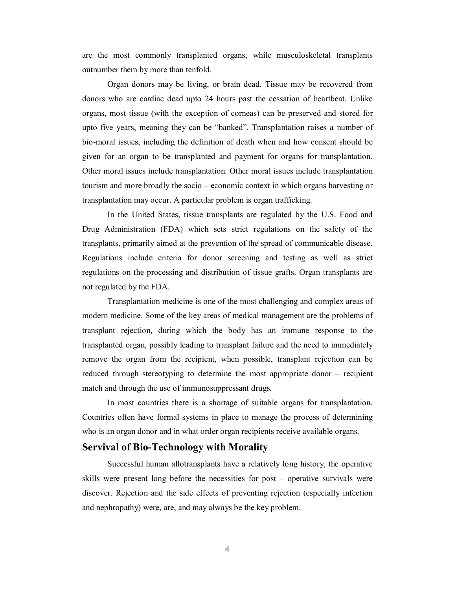are the most commonly transplanted organs, while musculoskeletal transplants outnumber them by more than tenfold.

Organ donors may be living, or brain dead. Tissue may be recovered from donors who are cardiac dead upto 24 hours past the cessation of heartbeat. Unlike organs, most tissue (with the exception of corneas) can be preserved and stored for upto five years, meaning they can be "banked". Transplantation raises a number of bio-moral issues, including the definition of death when and how consent should be given for an organ to be transplanted and payment for organs for transplantation. Other moral issues include transplantation. Other moral issues include transplantation tourism and more broadly the socio – economic context in which organs harvesting or transplantation may occur. A particular problem is organ trafficking.

In the United States, tissue transplants are regulated by the U.S. Food and Drug Administration (FDA) which sets strict regulations on the safety of the transplants, primarily aimed at the prevention of the spread of communicable disease. Regulations include criteria for donor screening and testing as well as strict regulations on the processing and distribution of tissue grafts. Organ transplants are not regulated by the FDA.

Transplantation medicine is one of the most challenging and complex areas of modern medicine. Some of the key areas of medical management are the problems of transplant rejection, during which the body has an immune response to the transplanted organ, possibly leading to transplant failure and the need to immediately remove the organ from the recipient, when possible, transplant rejection can be reduced through stereotyping to determine the most appropriate donor – recipient match and through the use of immunosuppressant drugs.

In most countries there is a shortage of suitable organs for transplantation. Countries often have formal systems in place to manage the process of determining who is an organ donor and in what order organ recipients receive available organs.

#### **Servival of Bio-Technology with Morality**

Successful human allotransplants have a relatively long history, the operative skills were present long before the necessities for post – operative survivals were discover. Rejection and the side effects of preventing rejection (especially infection and nephropathy) were, are, and may always be the key problem.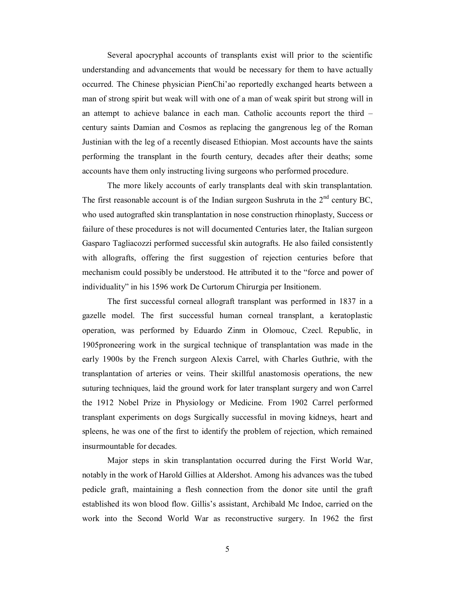Several apocryphal accounts of transplants exist will prior to the scientific understanding and advancements that would be necessary for them to have actually occurred. The Chinese physician PienChi'ao reportedly exchanged hearts between a man of strong spirit but weak will with one of a man of weak spirit but strong will in an attempt to achieve balance in each man. Catholic accounts report the third – century saints Damian and Cosmos as replacing the gangrenous leg of the Roman Justinian with the leg of a recently diseased Ethiopian. Most accounts have the saints performing the transplant in the fourth century, decades after their deaths; some accounts have them only instructing living surgeons who performed procedure.

The more likely accounts of early transplants deal with skin transplantation. The first reasonable account is of the Indian surgeon Sushruta in the  $2<sup>nd</sup>$  century BC, who used autografted skin transplantation in nose construction rhinoplasty, Success or failure of these procedures is not will documented Centuries later, the Italian surgeon Gasparo Tagliacozzi performed successful skin autografts. He also failed consistently with allografts, offering the first suggestion of rejection centuries before that mechanism could possibly be understood. He attributed it to the "force and power of individuality" in his 1596 work De Curtorum Chirurgia per Insitionem.

The first successful corneal allograft transplant was performed in 1837 in a gazelle model. The first successful human corneal transplant, a keratoplastic operation, was performed by Eduardo Zinm in Olomouc, Czecl. Republic, in 1905proneering work in the surgical technique of transplantation was made in the early 1900s by the French surgeon Alexis Carrel, with Charles Guthrie, with the transplantation of arteries or veins. Their skillful anastomosis operations, the new suturing techniques, laid the ground work for later transplant surgery and won Carrel the 1912 Nobel Prize in Physiology or Medicine. From 1902 Carrel performed transplant experiments on dogs Surgically successful in moving kidneys, heart and spleens, he was one of the first to identify the problem of rejection, which remained insurmountable for decades.

Major steps in skin transplantation occurred during the First World War, notably in the work of Harold Gillies at Aldershot. Among his advances was the tubed pedicle graft, maintaining a flesh connection from the donor site until the graft established its won blood flow. Gillis's assistant, Archibald Mc Indoe, carried on the work into the Second World War as reconstructive surgery. In 1962 the first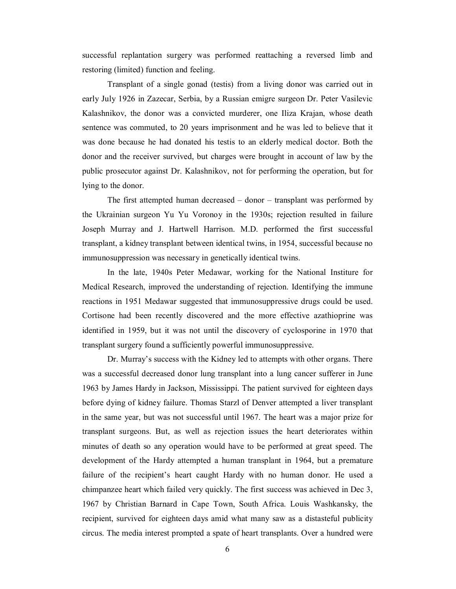successful replantation surgery was performed reattaching a reversed limb and restoring (limited) function and feeling.

Transplant of a single gonad (testis) from a living donor was carried out in early July 1926 in Zazecar, Serbia, by a Russian emigre surgeon Dr. Peter Vasilevic Kalashnikov, the donor was a convicted murderer, one Iliza Krajan, whose death sentence was commuted, to 20 years imprisonment and he was led to believe that it was done because he had donated his testis to an elderly medical doctor. Both the donor and the receiver survived, but charges were brought in account of law by the public prosecutor against Dr. Kalashnikov, not for performing the operation, but for lying to the donor.

The first attempted human decreased – donor – transplant was performed by the Ukrainian surgeon Yu Yu Voronoy in the 1930s; rejection resulted in failure Joseph Murray and J. Hartwell Harrison. M.D. performed the first successful transplant, a kidney transplant between identical twins, in 1954, successful because no immunosuppression was necessary in genetically identical twins.

In the late, 1940s Peter Medawar, working for the National Institure for Medical Research, improved the understanding of rejection. Identifying the immune reactions in 1951 Medawar suggested that immunosuppressive drugs could be used. Cortisone had been recently discovered and the more effective azathioprine was identified in 1959, but it was not until the discovery of cyclosporine in 1970 that transplant surgery found a sufficiently powerful immunosuppressive.

Dr. Murray's success with the Kidney led to attempts with other organs. There was a successful decreased donor lung transplant into a lung cancer sufferer in June 1963 by James Hardy in Jackson, Mississippi. The patient survived for eighteen days before dying of kidney failure. Thomas Starzl of Denver attempted a liver transplant in the same year, but was not successful until 1967. The heart was a major prize for transplant surgeons. But, as well as rejection issues the heart deteriorates within minutes of death so any operation would have to be performed at great speed. The development of the Hardy attempted a human transplant in 1964, but a premature failure of the recipient's heart caught Hardy with no human donor. He used a chimpanzee heart which failed very quickly. The first success was achieved in Dec 3, 1967 by Christian Barnard in Cape Town, South Africa. Louis Washkansky, the recipient, survived for eighteen days amid what many saw as a distasteful publicity circus. The media interest prompted a spate of heart transplants. Over a hundred were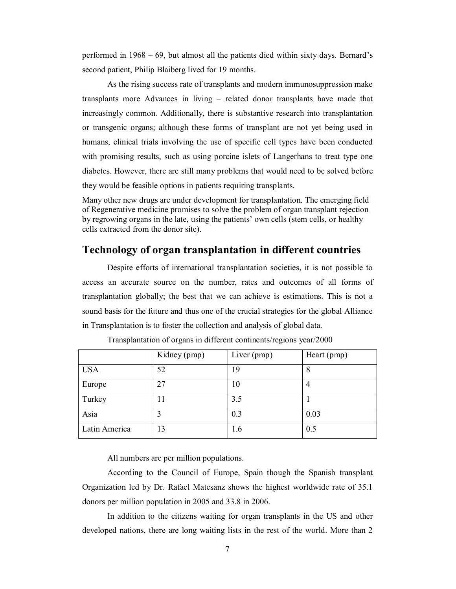performed in 1968 – 69, but almost all the patients died within sixty days. Bernard's second patient, Philip Blaiberg lived for 19 months.

As the rising success rate of transplants and modern immunosuppression make transplants more Advances in living – related donor transplants have made that increasingly common. Additionally, there is substantive research into transplantation or transgenic organs; although these forms of transplant are not yet being used in humans, clinical trials involving the use of specific cell types have been conducted with promising results, such as using porcine islets of Langerhans to treat type one diabetes. However, there are still many problems that would need to be solved before they would be feasible options in patients requiring transplants.

Many other new drugs are under development for transplantation. The emerging field of Regenerative medicine promises to solve the problem of organ transplant rejection by regrowing organs in the late, using the patients' own cells (stem cells, or healthy cells extracted from the donor site).

## **Technology of organ transplantation in different countries**

Despite efforts of international transplantation societies, it is not possible to access an accurate source on the number, rates and outcomes of all forms of transplantation globally; the best that we can achieve is estimations. This is not a sound basis for the future and thus one of the crucial strategies for the global Alliance in Transplantation is to foster the collection and analysis of global data.

|               | Kidney (pmp) | Liver (pmp) | Heart (pmp) |
|---------------|--------------|-------------|-------------|
| <b>USA</b>    | 52           | 19          | 8           |
| Europe        | 27           | 10          | 4           |
| Turkey        | 11           | 3.5         |             |
| Asia          | 3            | 0.3         | 0.03        |
| Latin America | 13           | 1.6         | 0.5         |

Transplantation of organs in different continents/regions year/2000

All numbers are per million populations.

According to the Council of Europe, Spain though the Spanish transplant Organization led by Dr. Rafael Matesanz shows the highest worldwide rate of 35.1 donors per million population in 2005 and 33.8 in 2006.

In addition to the citizens waiting for organ transplants in the US and other developed nations, there are long waiting lists in the rest of the world. More than 2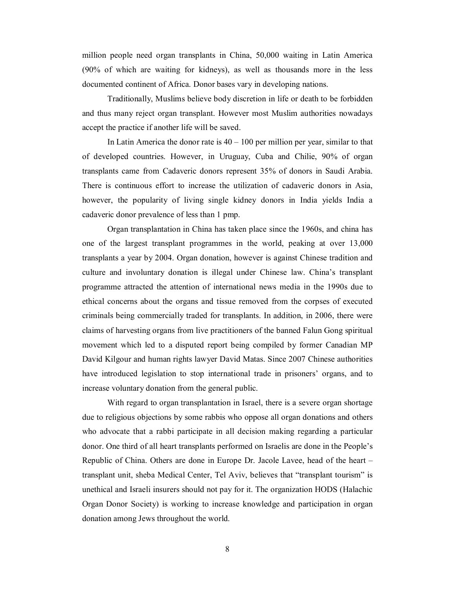million people need organ transplants in China, 50,000 waiting in Latin America (90% of which are waiting for kidneys), as well as thousands more in the less documented continent of Africa. Donor bases vary in developing nations.

Traditionally, Muslims believe body discretion in life or death to be forbidden and thus many reject organ transplant. However most Muslim authorities nowadays accept the practice if another life will be saved.

In Latin America the donor rate is  $40 - 100$  per million per year, similar to that of developed countries. However, in Uruguay, Cuba and Chilie, 90% of organ transplants came from Cadaveric donors represent 35% of donors in Saudi Arabia. There is continuous effort to increase the utilization of cadaveric donors in Asia, however, the popularity of living single kidney donors in India yields India a cadaveric donor prevalence of less than 1 pmp.

Organ transplantation in China has taken place since the 1960s, and china has one of the largest transplant programmes in the world, peaking at over 13,000 transplants a year by 2004. Organ donation, however is against Chinese tradition and culture and involuntary donation is illegal under Chinese law. China's transplant programme attracted the attention of international news media in the 1990s due to ethical concerns about the organs and tissue removed from the corpses of executed criminals being commercially traded for transplants. In addition, in 2006, there were claims of harvesting organs from live practitioners of the banned Falun Gong spiritual movement which led to a disputed report being compiled by former Canadian MP David Kilgour and human rights lawyer David Matas. Since 2007 Chinese authorities have introduced legislation to stop international trade in prisoners' organs, and to increase voluntary donation from the general public.

With regard to organ transplantation in Israel, there is a severe organ shortage due to religious objections by some rabbis who oppose all organ donations and others who advocate that a rabbi participate in all decision making regarding a particular donor. One third of all heart transplants performed on Israelis are done in the People's Republic of China. Others are done in Europe Dr. Jacole Lavee, head of the heart – transplant unit, sheba Medical Center, Tel Aviv, believes that "transplant tourism" is unethical and Israeli insurers should not pay for it. The organization HODS (Halachic Organ Donor Society) is working to increase knowledge and participation in organ donation among Jews throughout the world.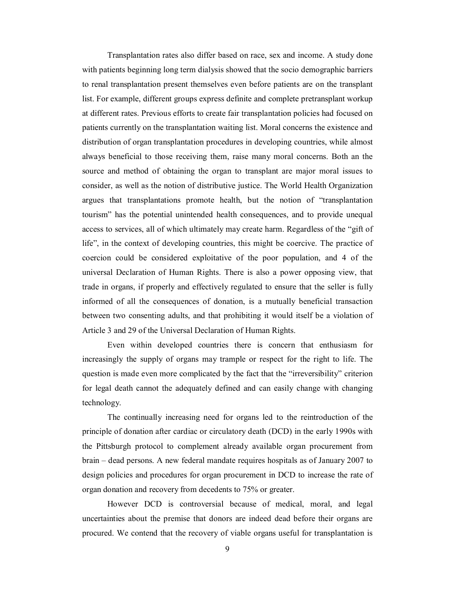Transplantation rates also differ based on race, sex and income. A study done with patients beginning long term dialysis showed that the socio demographic barriers to renal transplantation present themselves even before patients are on the transplant list. For example, different groups express definite and complete pretransplant workup at different rates. Previous efforts to create fair transplantation policies had focused on patients currently on the transplantation waiting list. Moral concerns the existence and distribution of organ transplantation procedures in developing countries, while almost always beneficial to those receiving them, raise many moral concerns. Both an the source and method of obtaining the organ to transplant are major moral issues to consider, as well as the notion of distributive justice. The World Health Organization argues that transplantations promote health, but the notion of "transplantation tourism" has the potential unintended health consequences, and to provide unequal access to services, all of which ultimately may create harm. Regardless of the "gift of life", in the context of developing countries, this might be coercive. The practice of coercion could be considered exploitative of the poor population, and 4 of the universal Declaration of Human Rights. There is also a power opposing view, that trade in organs, if properly and effectively regulated to ensure that the seller is fully informed of all the consequences of donation, is a mutually beneficial transaction between two consenting adults, and that prohibiting it would itself be a violation of Article 3 and 29 of the Universal Declaration of Human Rights.

Even within developed countries there is concern that enthusiasm for increasingly the supply of organs may trample or respect for the right to life. The question is made even more complicated by the fact that the "irreversibility" criterion for legal death cannot the adequately defined and can easily change with changing technology.

The continually increasing need for organs led to the reintroduction of the principle of donation after cardiac or circulatory death (DCD) in the early 1990s with the Pittsburgh protocol to complement already available organ procurement from brain – dead persons. A new federal mandate requires hospitals as of January 2007 to design policies and procedures for organ procurement in DCD to increase the rate of organ donation and recovery from decedents to 75% or greater.

However DCD is controversial because of medical, moral, and legal uncertainties about the premise that donors are indeed dead before their organs are procured. We contend that the recovery of viable organs useful for transplantation is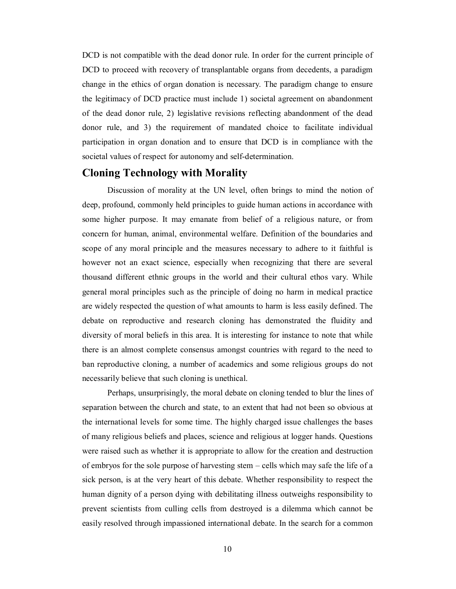DCD is not compatible with the dead donor rule. In order for the current principle of DCD to proceed with recovery of transplantable organs from decedents, a paradigm change in the ethics of organ donation is necessary. The paradigm change to ensure the legitimacy of DCD practice must include 1) societal agreement on abandonment of the dead donor rule, 2) legislative revisions reflecting abandonment of the dead donor rule, and 3) the requirement of mandated choice to facilitate individual participation in organ donation and to ensure that DCD is in compliance with the societal values of respect for autonomy and self-determination.

### **Cloning Technology with Morality**

Discussion of morality at the UN level, often brings to mind the notion of deep, profound, commonly held principles to guide human actions in accordance with some higher purpose. It may emanate from belief of a religious nature, or from concern for human, animal, environmental welfare. Definition of the boundaries and scope of any moral principle and the measures necessary to adhere to it faithful is however not an exact science, especially when recognizing that there are several thousand different ethnic groups in the world and their cultural ethos vary. While general moral principles such as the principle of doing no harm in medical practice are widely respected the question of what amounts to harm is less easily defined. The debate on reproductive and research cloning has demonstrated the fluidity and diversity of moral beliefs in this area. It is interesting for instance to note that while there is an almost complete consensus amongst countries with regard to the need to ban reproductive cloning, a number of academics and some religious groups do not necessarily believe that such cloning is unethical.

Perhaps, unsurprisingly, the moral debate on cloning tended to blur the lines of separation between the church and state, to an extent that had not been so obvious at the international levels for some time. The highly charged issue challenges the bases of many religious beliefs and places, science and religious at logger hands. Questions were raised such as whether it is appropriate to allow for the creation and destruction of embryos for the sole purpose of harvesting stem – cells which may safe the life of a sick person, is at the very heart of this debate. Whether responsibility to respect the human dignity of a person dying with debilitating illness outweighs responsibility to prevent scientists from culling cells from destroyed is a dilemma which cannot be easily resolved through impassioned international debate. In the search for a common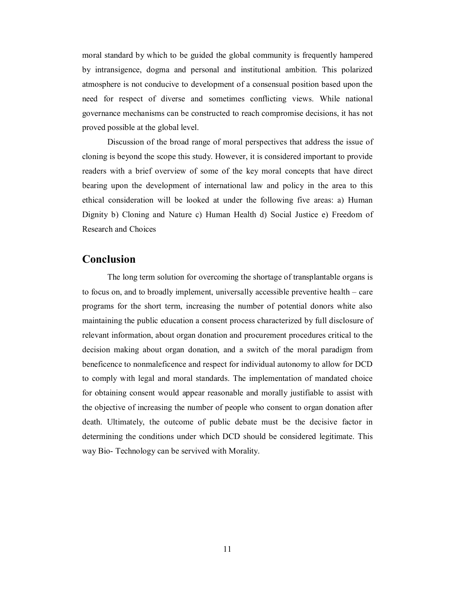moral standard by which to be guided the global community is frequently hampered by intransigence, dogma and personal and institutional ambition. This polarized atmosphere is not conducive to development of a consensual position based upon the need for respect of diverse and sometimes conflicting views. While national governance mechanisms can be constructed to reach compromise decisions, it has not proved possible at the global level.

Discussion of the broad range of moral perspectives that address the issue of cloning is beyond the scope this study. However, it is considered important to provide readers with a brief overview of some of the key moral concepts that have direct bearing upon the development of international law and policy in the area to this ethical consideration will be looked at under the following five areas: a) Human Dignity b) Cloning and Nature c) Human Health d) Social Justice e) Freedom of Research and Choices

## **Conclusion**

The long term solution for overcoming the shortage of transplantable organs is to focus on, and to broadly implement, universally accessible preventive health – care programs for the short term, increasing the number of potential donors white also maintaining the public education a consent process characterized by full disclosure of relevant information, about organ donation and procurement procedures critical to the decision making about organ donation, and a switch of the moral paradigm from beneficence to nonmaleficence and respect for individual autonomy to allow for DCD to comply with legal and moral standards. The implementation of mandated choice for obtaining consent would appear reasonable and morally justifiable to assist with the objective of increasing the number of people who consent to organ donation after death. Ultimately, the outcome of public debate must be the decisive factor in determining the conditions under which DCD should be considered legitimate. This way Bio- Technology can be servived with Morality.